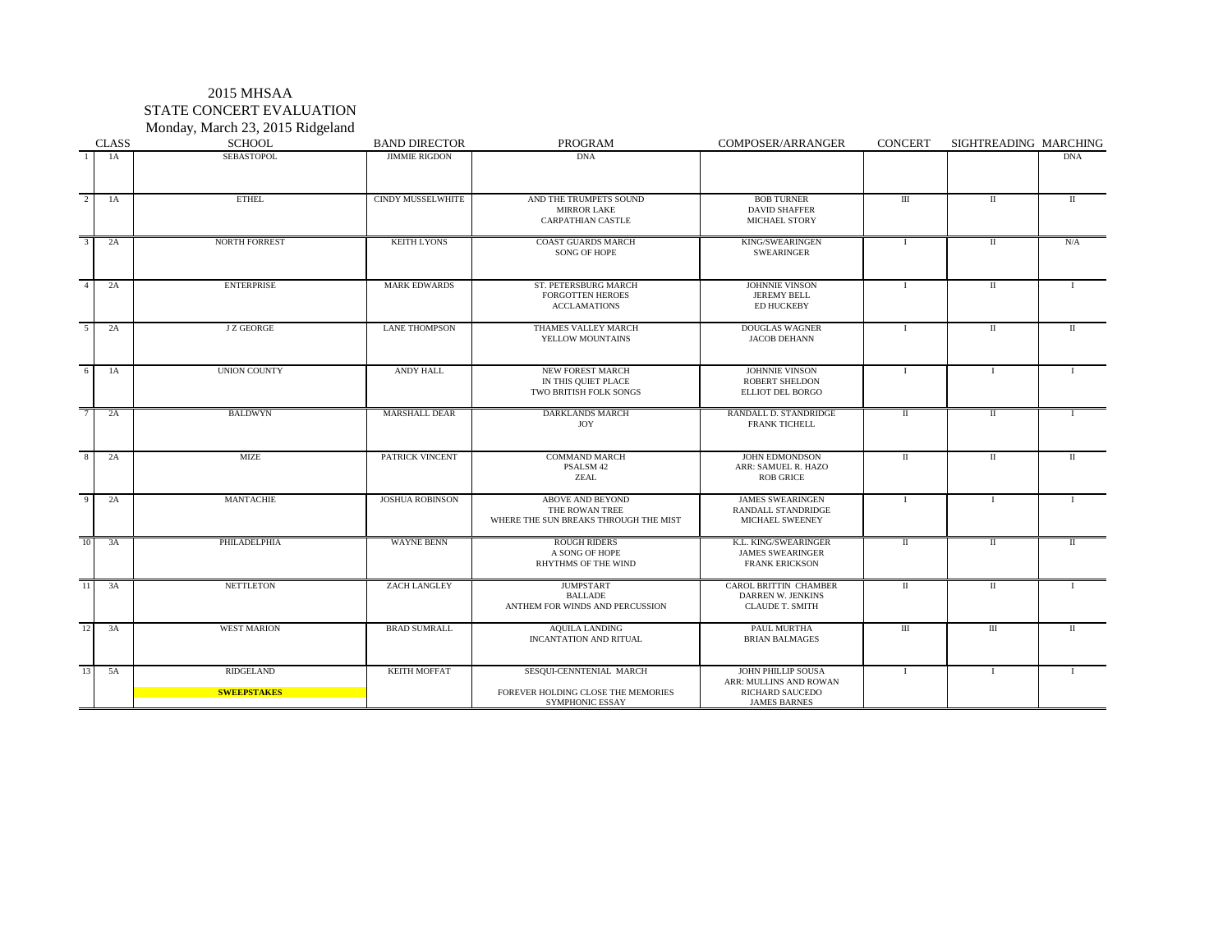## 2015 MHSAA STATE CONCERT EVALUATION Monday, March 23, 2015 Ridgeland

| <b>CLASS</b> | J /<br><b>SCHOOL</b>                   | <b>BAND DIRECTOR</b>     | <b>PROGRAM</b>                                                                   | <b>COMPOSER/ARRANGER</b>                                                                      | <b>CONCERT</b> | SIGHTREADING MARCHING |                |
|--------------|----------------------------------------|--------------------------|----------------------------------------------------------------------------------|-----------------------------------------------------------------------------------------------|----------------|-----------------------|----------------|
| 1A           | <b>SEBASTOPOL</b>                      | <b>JIMMIE RIGDON</b>     | <b>DNA</b>                                                                       |                                                                                               |                |                       | <b>DNA</b>     |
| 2<br>1A      | <b>ETHEL</b>                           | <b>CINDY MUSSELWHITE</b> | AND THE TRUMPETS SOUND<br><b>MIRROR LAKE</b><br><b>CARPATHIAN CASTLE</b>         | <b>BOB TURNER</b><br><b>DAVID SHAFFER</b><br><b>MICHAEL STORY</b>                             | Ш              |                       | Н              |
| 2A<br>3      | NORTH FORREST                          | <b>KEITH LYONS</b>       | <b>COAST GUARDS MARCH</b><br>SONG OF HOPE                                        | KING/SWEARINGEN<br><b>SWEARINGER</b>                                                          |                |                       | N/A            |
| 2A           | <b>ENTERPRISE</b>                      | <b>MARK EDWARDS</b>      | ST. PETERSBURG MARCH<br><b>FORGOTTEN HEROES</b><br><b>ACCLAMATIONS</b>           | <b>JOHNNIE VINSON</b><br><b>JEREMY BELL</b><br><b>ED HUCKEBY</b>                              |                |                       |                |
| 2A           | <b>J Z GEORGE</b>                      | <b>LANE THOMPSON</b>     | THAMES VALLEY MARCH<br>YELLOW MOUNTAINS                                          | <b>DOUGLAS WAGNER</b><br><b>JACOB DEHANN</b>                                                  |                |                       | $\mathbf{I}$   |
| 1A<br>6      | <b>UNION COUNTY</b>                    | <b>ANDY HALL</b>         | NEW FOREST MARCH<br>IN THIS QUIET PLACE<br>TWO BRITISH FOLK SONGS                | <b>JOHNNIE VINSON</b><br><b>ROBERT SHELDON</b><br>ELLIOT DEL BORGO                            |                |                       |                |
| 2A           | <b>BALDWYN</b>                         | <b>MARSHALL DEAR</b>     | <b>DARKLANDS MARCH</b><br><b>JOY</b>                                             | RANDALL D. STANDRIDGE<br><b>FRANK TICHELL</b>                                                 | $\mathbf{I}$   | H                     |                |
| 2A           | MIZE                                   | <b>PATRICK VINCENT</b>   | <b>COMMAND MARCH</b><br>PSALSM <sub>42</sub><br>ZEAL                             | <b>JOHN EDMONDSON</b><br>ARR: SAMUEL R. HAZO<br><b>ROB GRICE</b>                              | -11            | $\mathbf{H}$          | $\mathbf{\mu}$ |
| 2A<br>9      | <b>MANTACHIE</b>                       | <b>JOSHUA ROBINSON</b>   | ABOVE AND BEYOND<br>THE ROWAN TREE<br>WHERE THE SUN BREAKS THROUGH THE MIST      | <b>JAMES SWEARINGEN</b><br>RANDALL STANDRIDGE<br>MICHAEL SWEENEY                              |                |                       |                |
| 3A<br>10     | PHILADELPHIA                           | WAYNE BENN               | <b>ROUGH RIDERS</b><br>A SONG OF HOPE<br><b>RHYTHMS OF THE WIND</b>              | K.L. KING/SWEARINGER<br><b>JAMES SWEARINGER</b><br><b>FRANK ERICKSON</b>                      | $\mathbf{I}$   |                       |                |
| 3A<br>11     | <b>NETTLETON</b>                       | ZACH LANGLEY             | <b>JUMPSTART</b><br><b>BALLADE</b><br>ANTHEM FOR WINDS AND PERCUSSION            | <b>CAROL BRITTIN CHAMBER</b><br>DARREN W. JENKINS<br><b>CLAUDE T. SMITH</b>                   | $\mathbf{I}$   |                       |                |
| 3A<br>12     | <b>WEST MARION</b>                     | <b>BRAD SUMRALL</b>      | AQUILA LANDING<br><b>INCANTATION AND RITUAL</b>                                  | PAUL MURTHA<br><b>BRIAN BALMAGES</b>                                                          | Ш              | III                   |                |
| 5A<br>13     | <b>RIDGELAND</b><br><b>SWEEPSTAKES</b> | <b>KEITH MOFFAT</b>      | SESQUI-CENNTENIAL MARCH<br>FOREVER HOLDING CLOSE THE MEMORIES<br>SYMPHONIC ESSAY | JOHN PHILLIP SOUSA<br>ARR: MULLINS AND ROWAN<br><b>RICHARD SAUCEDO</b><br><b>JAMES BARNES</b> |                |                       |                |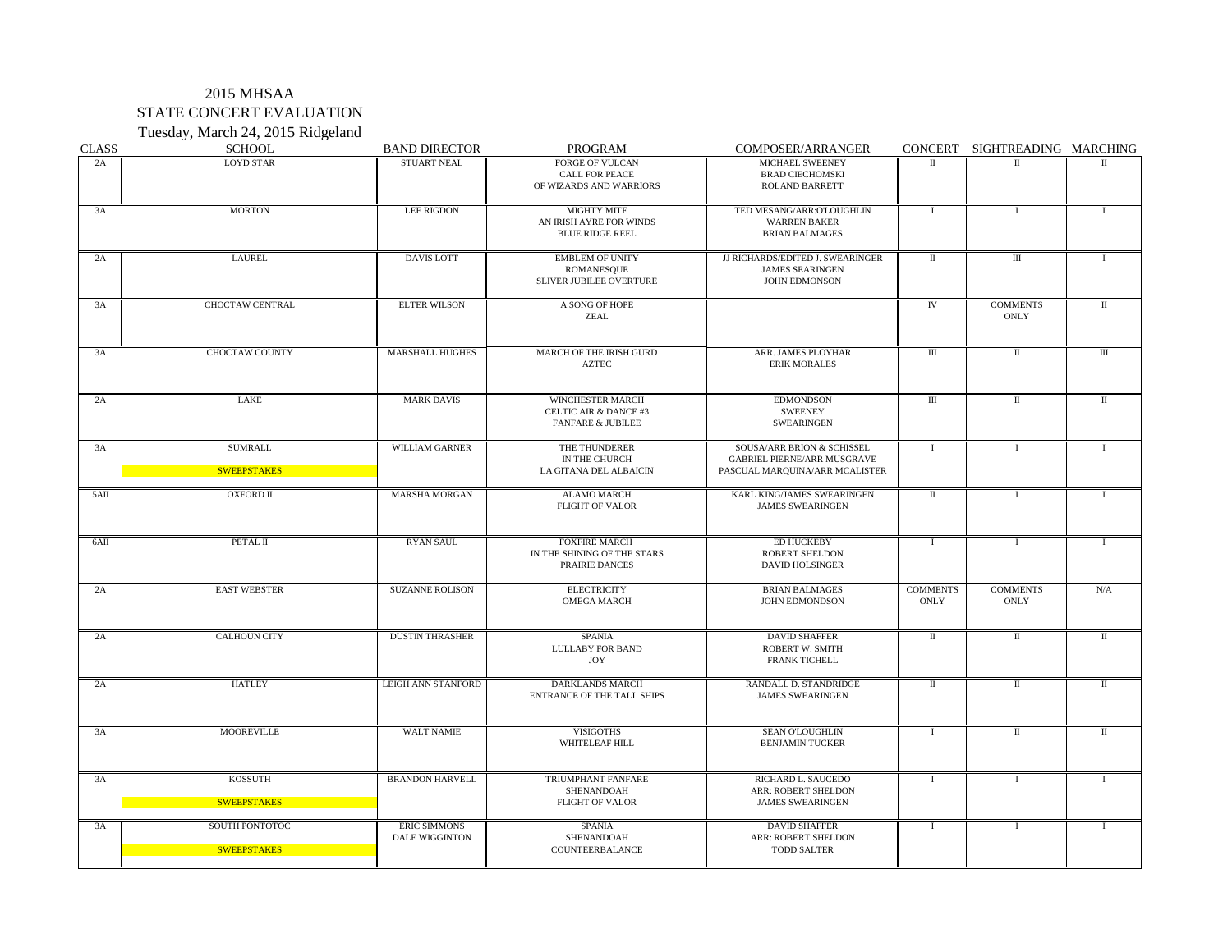# 2015 MHSAA STATE CONCERT EVALUATION Tuesday, March 24, 2015 Ridgeland

| <b>CLASS</b> | <b>SCHOOL</b>                        | <b>BAND DIRECTOR</b>                         | PROGRAM                                                                                     | <b>COMPOSER/ARRANGER</b>                                                                           | <b>CONCERT</b>                   | SIGHTREADING MARCHING   |             |
|--------------|--------------------------------------|----------------------------------------------|---------------------------------------------------------------------------------------------|----------------------------------------------------------------------------------------------------|----------------------------------|-------------------------|-------------|
| 2A           | <b>LOYD STAR</b>                     | <b>STUART NEAL</b>                           | FORGE OF VULCAN<br><b>CALL FOR PEACE</b><br>OF WIZARDS AND WARRIORS                         | MICHAEL SWEENEY<br><b>BRAD CIECHOMSKI</b><br><b>ROLAND BARRETT</b>                                 | H                                |                         |             |
| 3A           | <b>MORTON</b>                        | <b>LEE RIGDON</b>                            | <b>MIGHTY MITE</b><br>AN IRISH AYRE FOR WINDS<br><b>BLUE RIDGE REEL</b>                     | TED MESANG/ARR:O'LOUGHLIN<br><b>WARREN BAKER</b><br><b>BRIAN BALMAGES</b>                          |                                  |                         |             |
| 2A           | <b>LAUREL</b>                        | <b>DAVIS LOTT</b>                            | <b>EMBLEM OF UNITY</b><br>ROMANESQUE<br>SLIVER JUBILEE OVERTURE                             | JJ RICHARDS/EDITED J. SWEARINGER<br><b>JAMES SEARINGEN</b><br><b>JOHN EDMONSON</b>                 | $\rm II$                         | $\mathop{\rm III}$      |             |
| 3A           | <b>CHOCTAW CENTRAL</b>               | <b>ELTER WILSON</b>                          | A SONG OF HOPE<br><b>ZEAL</b>                                                               |                                                                                                    | IV                               | <b>COMMENTS</b><br>ONLY |             |
| 3A           | <b>CHOCTAW COUNTY</b>                | <b>MARSHALL HUGHES</b>                       | MARCH OF THE IRISH GURD<br><b>AZTEC</b>                                                     | ARR. JAMES PLOYHAR<br><b>ERIK MORALES</b>                                                          | $\rm III$                        | $\mathbf H$             | Ш           |
| 2A           | LAKE                                 | <b>MARK DAVIS</b>                            | <b>WINCHESTER MARCH</b><br><b>CELTIC AIR &amp; DANCE #3</b><br><b>FANFARE &amp; JUBILEE</b> | <b>EDMONDSON</b><br><b>SWEENEY</b><br><b>SWEARINGEN</b>                                            | $\mathop{\mathrm{III}}\nolimits$ | $\mathbf{I}$            | Π           |
| 3A           | <b>SUMRALL</b><br><b>SWEEPSTAKES</b> | WILLIAM GARNER                               | THE THUNDERER<br>IN THE CHURCH<br>LA GITANA DEL ALBAICIN                                    | SOUSA/ARR BRION & SCHISSEL<br><b>GABRIEL PIERNE/ARR MUSGRAVE</b><br>PASCUAL MARQUINA/ARR MCALISTER |                                  |                         |             |
| 5AI          | <b>OXFORD II</b>                     | <b>MARSHA MORGAN</b>                         | <b>ALAMO MARCH</b><br><b>FLIGHT OF VALOR</b>                                                | KARL KING/JAMES SWEARINGEN<br><b>JAMES SWEARINGEN</b>                                              | $\mathbf{I}$                     |                         |             |
| 6AII         | PETAL II                             | <b>RYAN SAUL</b>                             | <b>FOXFIRE MARCH</b><br>IN THE SHINING OF THE STARS<br>PRAIRIE DANCES                       | <b>ED HUCKEBY</b><br><b>ROBERT SHELDON</b><br><b>DAVID HOLSINGER</b>                               |                                  |                         |             |
| 2A           | <b>EAST WEBSTER</b>                  | <b>SUZANNE ROLISON</b>                       | <b>ELECTRICITY</b><br><b>OMEGA MARCH</b>                                                    | <b>BRIAN BALMAGES</b><br><b>JOHN EDMONDSON</b>                                                     | <b>COMMENTS</b><br>ONLY          | <b>COMMENTS</b><br>ONLY | N/A         |
| 2A           | <b>CALHOUN CITY</b>                  | <b>DUSTIN THRASHER</b>                       | <b>SPANIA</b><br><b>LULLABY FOR BAND</b><br><b>JOY</b>                                      | <b>DAVID SHAFFER</b><br><b>ROBERT W. SMITH</b><br><b>FRANK TICHELL</b>                             | $\mathbf{I}$                     | П                       | $\mathbf I$ |
| 2A           | <b>HATLEY</b>                        | <b>LEIGH ANN STANFORD</b>                    | <b>DARKLANDS MARCH</b><br><b>ENTRANCE OF THE TALL SHIPS</b>                                 | <b>RANDALL D. STANDRIDGE</b><br><b>JAMES SWEARINGEN</b>                                            | $\mathbf{I}$                     | П                       | Н.          |
| 3A           | <b>MOOREVILLE</b>                    | <b>WALT NAMIE</b>                            | <b>VISIGOTHS</b><br><b>WHITELEAF HILL</b>                                                   | <b>SEAN O'LOUGHLIN</b><br><b>BENJAMIN TUCKER</b>                                                   |                                  |                         |             |
| 3A           | <b>KOSSUTH</b><br><b>SWEEPSTAKES</b> | <b>BRANDON HARVELL</b>                       | TRIUMPHANT FANFARE<br><b>SHENANDOAH</b><br><b>FLIGHT OF VALOR</b>                           | RICHARD L. SAUCEDO<br><b>ARR: ROBERT SHELDON</b><br><b>JAMES SWEARINGEN</b>                        |                                  |                         |             |
| 3A           | SOUTH PONTOTOC<br>SWEEPSTAKES        | <b>ERIC SIMMONS</b><br><b>DALE WIGGINTON</b> | SPANIA<br>SHENANDOAH<br>COUNTEERBALANCE                                                     | <b>DAVID SHAFFER</b><br>ARR: ROBERT SHELDON<br><b>TODD SALTER</b>                                  |                                  |                         |             |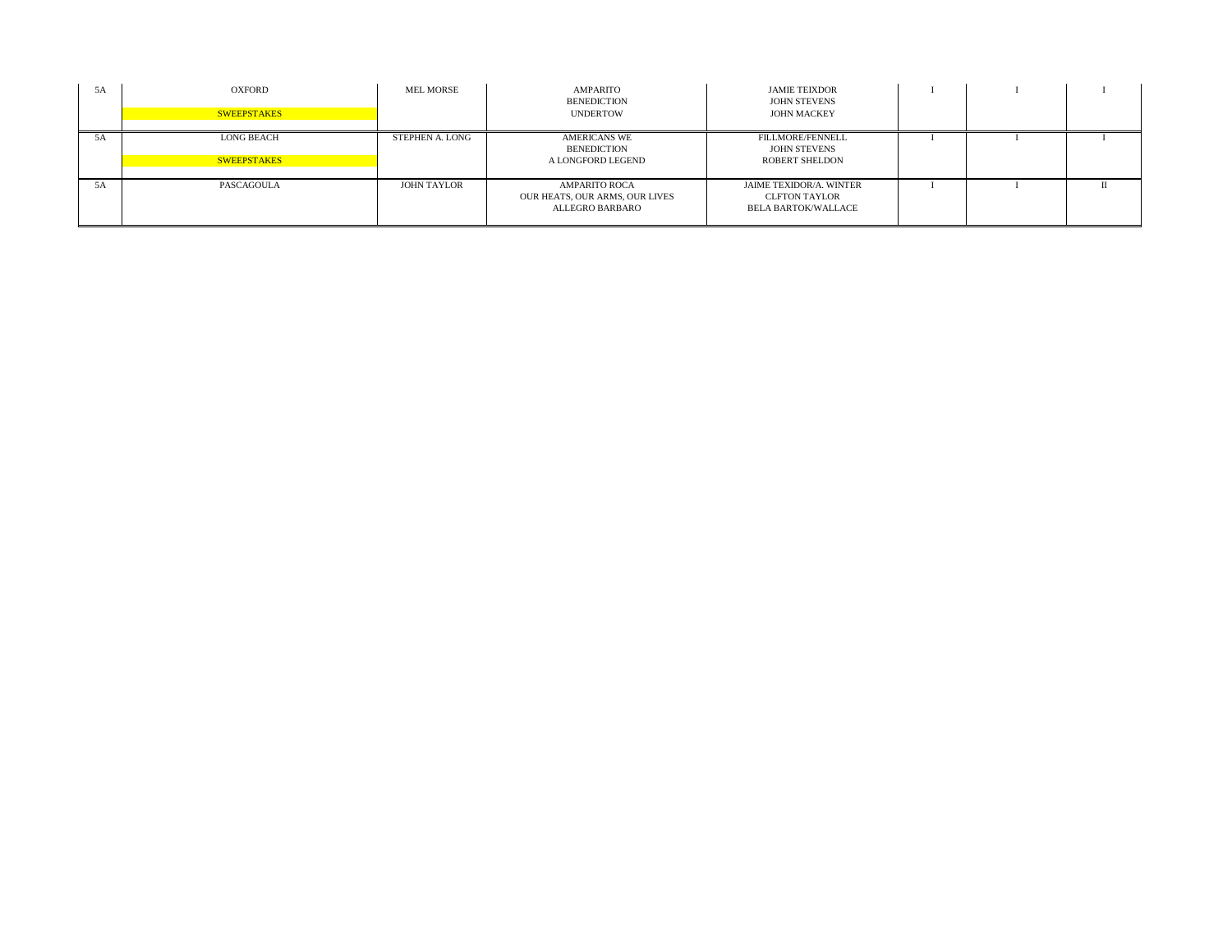| 5A | OXFORD<br><b>SWEEPSTAKES</b>            | <b>MEL MORSE</b>   | AMPARITO<br><b>BENEDICTION</b><br><b>UNDERTOW</b>                         | <b>JAMIE TEIXDOR</b><br><b>JOHN STEVENS</b><br><b>JOHN MACKEY</b>                    |  |  |
|----|-----------------------------------------|--------------------|---------------------------------------------------------------------------|--------------------------------------------------------------------------------------|--|--|
| 5A | <b>LONG BEACH</b><br><b>SWEEPSTAKES</b> | STEPHEN A. LONG    | <b>AMERICANS WE</b><br>BENEDICTION<br>A LONGFORD LEGEND                   | <b>FILLMORE/FENNELL</b><br><b>JOHN STEVENS</b><br><b>ROBERT SHELDON</b>              |  |  |
| 5A | PASCAGOULA                              | <b>JOHN TAYLOR</b> | <b>AMPARITO ROCA</b><br>OUR HEATS, OUR ARMS, OUR LIVES<br>ALLEGRO BARBARO | <b>JAIME TEXIDOR/A. WINTER</b><br><b>CLFTON TAYLOR</b><br><b>BELA BARTOK/WALLACE</b> |  |  |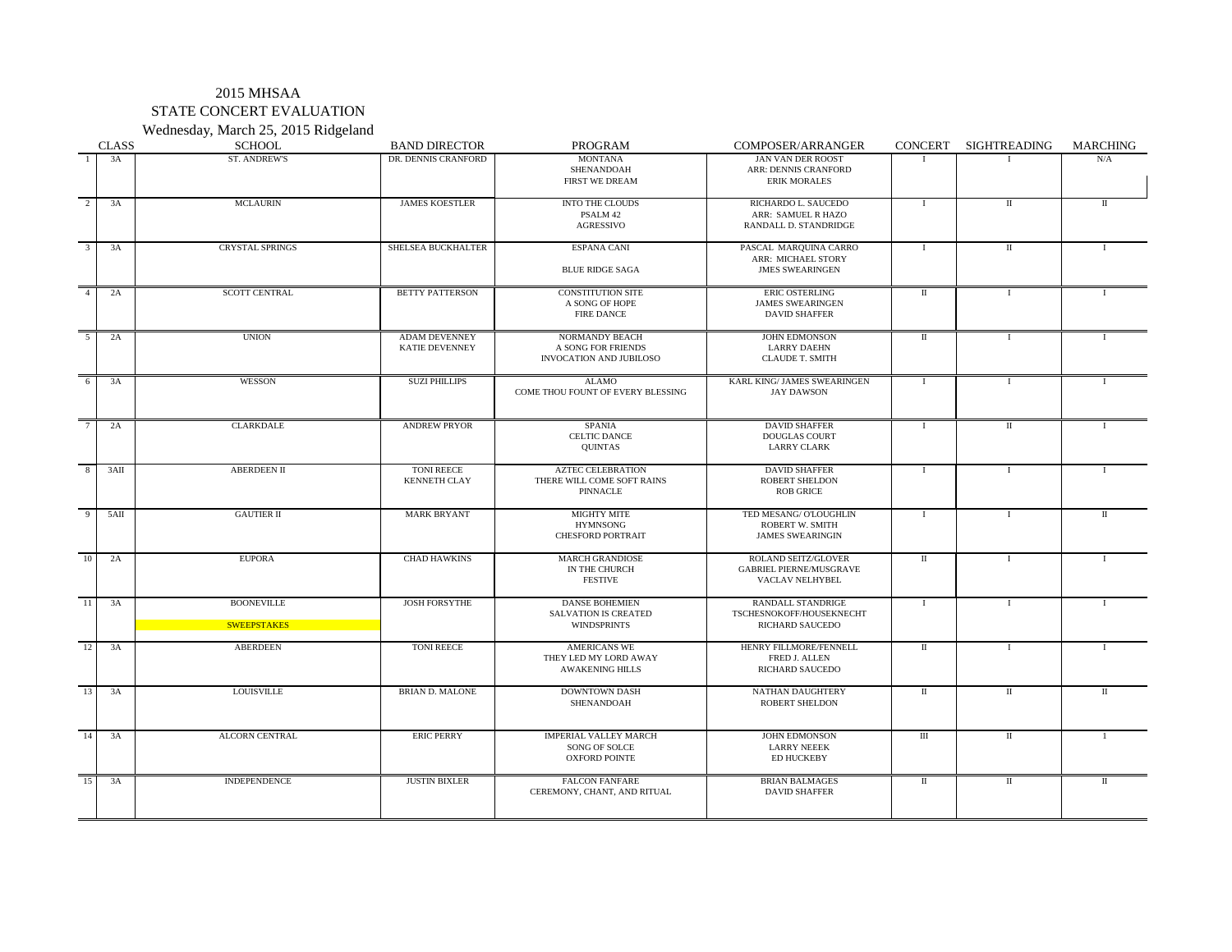### 2015 MHSAA STATE CONCERT EVALUATION Wednesday, March 25, 2015 Ridgeland

|                 | <b>CLASS</b>  | $\overline{\phantom{a}}$<br>$\circ$<br>SCHOOL | <b>BAND DIRECTOR</b>                          | PROGRAM                                                                    | COMPOSER/ARRANGER                                                               | <b>CONCERT</b> | SIGHTREADING | <b>MARCHING</b> |
|-----------------|---------------|-----------------------------------------------|-----------------------------------------------|----------------------------------------------------------------------------|---------------------------------------------------------------------------------|----------------|--------------|-----------------|
|                 | 3A            | <b>ST. ANDREW'S</b>                           | DR. DENNIS CRANFORD                           | <b>MONTANA</b><br>SHENANDOAH<br><b>FIRST WE DREAM</b>                      | <b>JAN VAN DER ROOST</b><br>ARR: DENNIS CRANFORD<br><b>ERIK MORALES</b>         |                |              | N/A             |
| 2               | 3A            | <b>MCLAURIN</b>                               | <b>JAMES KOESTLER</b>                         | <b>INTO THE CLOUDS</b><br>PSALM 42<br><b>AGRESSIVO</b>                     | RICHARDO L. SAUCEDO<br>ARR: SAMUEL R HAZO<br>RANDALL D. STANDRIDGE              |                |              | $\mathbf{I}$    |
| $\overline{3}$  | 3A            | <b>CRYSTAL SPRINGS</b>                        | SHELSEA BUCKHALTER                            | <b>ESPANA CANI</b><br><b>BLUE RIDGE SAGA</b>                               | PASCAL MARQUINA CARRO<br>ARR: MICHAEL STORY<br><b>JMES SWEARINGEN</b>           |                |              |                 |
| $\overline{4}$  | 2A            | <b>SCOTT CENTRAL</b>                          | <b>BETTY PATTERSON</b>                        | <b>CONSTITUTION SITE</b><br>A SONG OF HOPE<br><b>FIRE DANCE</b>            | ERIC OSTERLING<br><b>JAMES SWEARINGEN</b><br><b>DAVID SHAFFER</b>               | $\mathbf{I}$   |              |                 |
| 5 <sup>5</sup>  | 2A            | <b>UNION</b>                                  | <b>ADAM DEVENNEY</b><br><b>KATIE DEVENNEY</b> | NORMANDY BEACH<br>A SONG FOR FRIENDS<br><b>INVOCATION AND JUBILOSO</b>     | <b>JOHN EDMONSON</b><br><b>LARRY DAEHN</b><br><b>CLAUDE T. SMITH</b>            | $\mathbf{I}$   |              |                 |
| 6               | 3A            | WESSON                                        | <b>SUZI PHILLIPS</b>                          | ALAMO<br>COME THOU FOUNT OF EVERY BLESSING                                 | KARL KING/ JAMES SWEARINGEN<br><b>JAY DAWSON</b>                                |                |              |                 |
|                 | 2A            | <b>CLARKDALE</b>                              | <b>ANDREW PRYOR</b>                           | <b>SPANIA</b><br><b>CELTIC DANCE</b><br><b>QUINTAS</b>                     | <b>DAVID SHAFFER</b><br><b>DOUGLAS COURT</b><br><b>LARRY CLARK</b>              |                |              |                 |
| 8               | 3AII          | <b>ABERDEEN II</b>                            | <b>TONI REECE</b><br><b>KENNETH CLAY</b>      | <b>AZTEC CELEBRATION</b><br>THERE WILL COME SOFT RAINS<br>PINNACLE         | <b>DAVID SHAFFER</b><br><b>ROBERT SHELDON</b><br><b>ROB GRICE</b>               |                |              |                 |
| 9               | $5\text{AII}$ | <b>GAUTIER II</b>                             | <b>MARK BRYANT</b>                            | <b>MIGHTY MITE</b><br><b>HYMNSONG</b><br><b>CHESFORD PORTRAIT</b>          | TED MESANG/ O'LOUGHLIN<br><b>ROBERT W. SMITH</b><br><b>JAMES SWEARINGIN</b>     |                |              | $\rm{II}$       |
| 10              | 2A            | <b>EUPORA</b>                                 | <b>CHAD HAWKINS</b>                           | <b>MARCH GRANDIOSE</b><br>IN THE CHURCH<br><b>FESTIVE</b>                  | <b>ROLAND SEITZ/GLOVER</b><br><b>GABRIEL PIERNE/MUSGRAVE</b><br>VACLAV NELHYBEL | $\mathbf{I}$   |              |                 |
| 11              | 3A            | <b>BOONEVILLE</b><br><b>SWEEPSTAKES</b>       | <b>JOSH FORSYTHE</b>                          | <b>DANSE BOHEMIEN</b><br><b>SALVATION IS CREATED</b><br><b>WINDSPRINTS</b> | <b>RANDALL STANDRIGE</b><br>TSCHESNOKOFF/HOUSEKNECHT<br><b>RICHARD SAUCEDO</b>  |                |              |                 |
| 12              | 3A            | <b>ABERDEEN</b>                               | <b>TONI REECE</b>                             | AMERICANS WE<br>THEY LED MY LORD AWAY<br><b>AWAKENING HILLS</b>            | HENRY FILLMORE/FENNELL<br>FRED J. ALLEN<br><b>RICHARD SAUCEDO</b>               | $\mathbf{I}$   |              |                 |
| $\overline{13}$ | 3A            | <b>LOUISVILLE</b>                             | <b>BRIAN D. MALONE</b>                        | <b>DOWNTOWN DASH</b><br>SHENANDOAH                                         | NATHAN DAUGHTERY<br><b>ROBERT SHELDON</b>                                       | $\mathbf{H}$   |              |                 |
| 14              | 3A            | <b>ALCORN CENTRAL</b>                         | <b>ERIC PERRY</b>                             | <b>IMPERIAL VALLEY MARCH</b><br>SONG OF SOLCE<br><b>OXFORD POINTE</b>      | <b>JOHN EDMONSON</b><br><b>LARRY NEEEK</b><br><b>ED HUCKEBY</b>                 | $\mathbf{III}$ |              |                 |
| 15              | 3A            | <b>INDEPENDENCE</b>                           | <b>JUSTIN BIXLER</b>                          | <b>FALCON FANFARE</b><br>CEREMONY, CHANT, AND RITUAL                       | <b>BRIAN BALMAGES</b><br><b>DAVID SHAFFER</b>                                   | $\mathbf{I}$   |              | H               |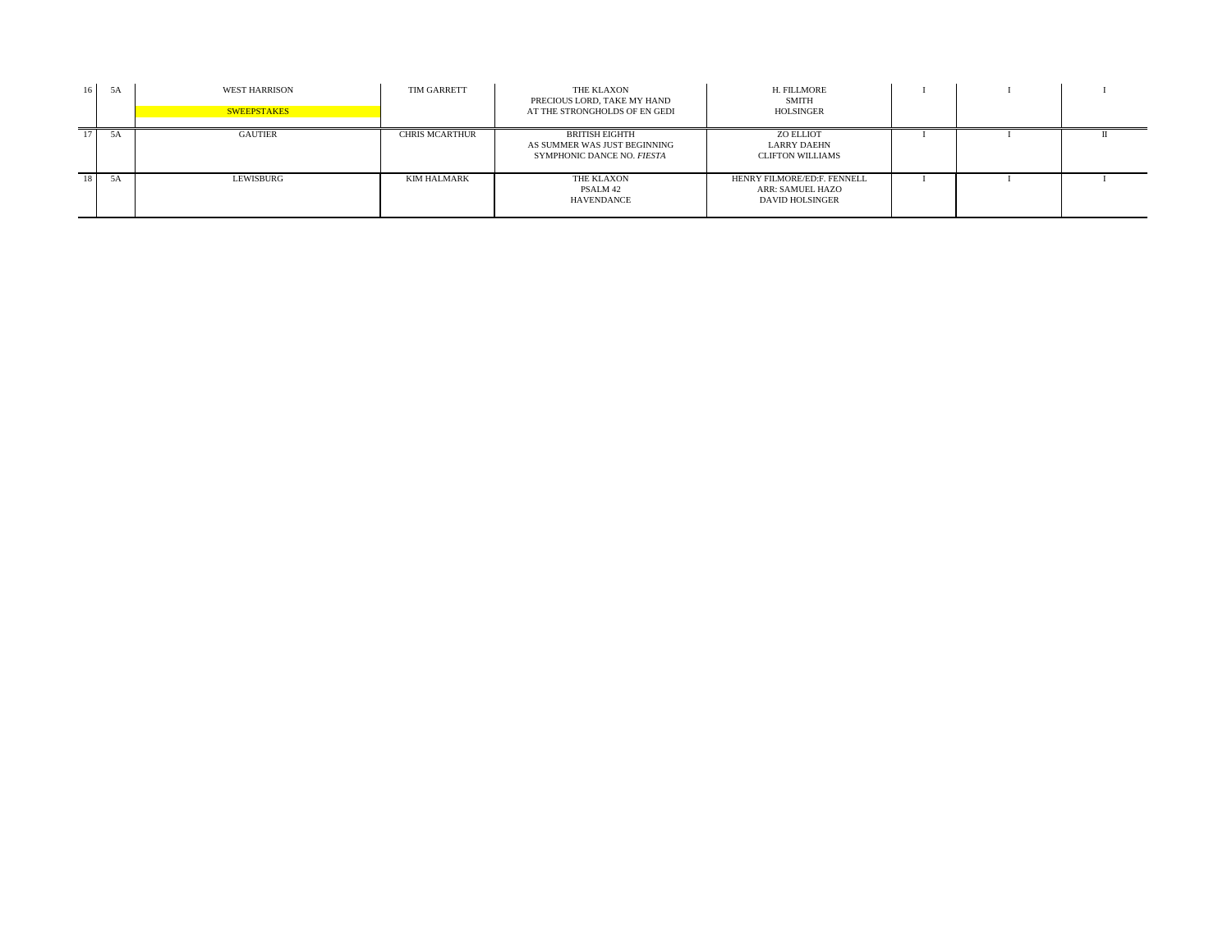| 16              | 5A | <b>WEST HARRISON</b><br><b>SWEEPSTAKES</b> | <b>TIM GARRETT</b>    | THE KLAXON<br>PRECIOUS LORD, TAKE MY HAND<br>AT THE STRONGHOLDS OF EN GEDI   | H. FILLMORE<br>SMITH<br>HOLSINGER                                  |  |  |
|-----------------|----|--------------------------------------------|-----------------------|------------------------------------------------------------------------------|--------------------------------------------------------------------|--|--|
|                 | 5A | <b>GAUTIER</b>                             | <b>CHRIS MCARTHUR</b> | BRITISH EIGHTH<br>AS SUMMER WAS JUST BEGINNING<br>SYMPHONIC DANCE NO. FIESTA | ZO ELLIOT<br><b>LARRY DAEHN</b><br><b>CLIFTON WILLIAMS</b>         |  |  |
| 18 <sup>1</sup> | 5A | LEWISBURG                                  | KIM HALMARK           | THE KLAXON<br>PSALM 42<br>HAVENDANCE                                         | HENRY FILMORE/ED:F. FENNELL<br>ARR: SAMUEL HAZO<br>DAVID HOLSINGER |  |  |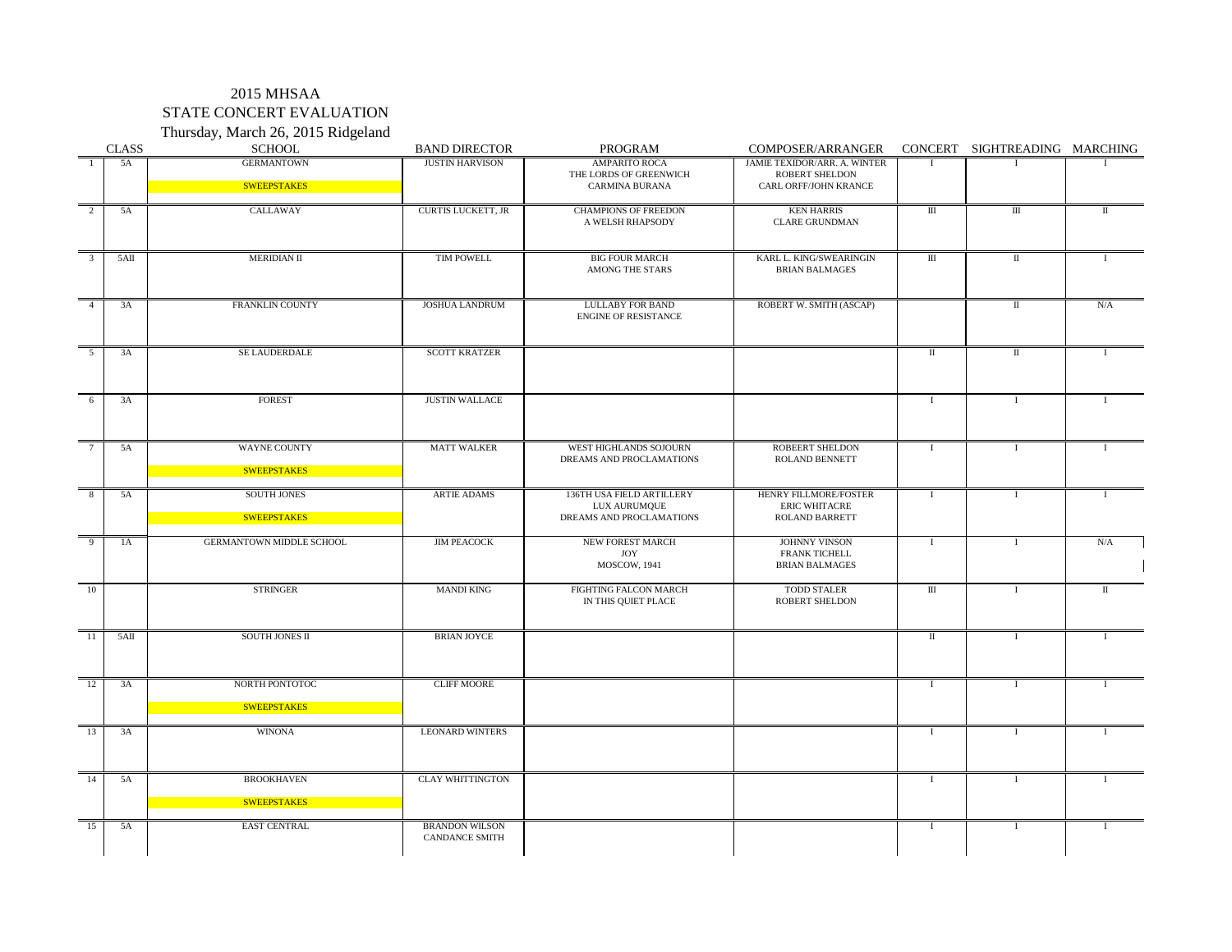#### 2015 MHSAA STATE CONCERT EVALUATION Thursday, March 26, 2015 Ridgeland

| <b>CLASS</b>      | $\frac{1}{2}$<br>SCHOOL           | <b>BAND DIRECTOR</b>                           | PROGRAM                                                               | COMPOSER/ARRANGER                                                      |                                  | CONCERT SIGHTREADING MARCHING |               |
|-------------------|-----------------------------------|------------------------------------------------|-----------------------------------------------------------------------|------------------------------------------------------------------------|----------------------------------|-------------------------------|---------------|
| 5A                | <b>GERMANTOWN</b>                 | <b>JUSTIN HARVISON</b>                         | <b>AMPARITO ROCA</b><br>THE LORDS OF GREENWICH                        | JAMIE TEXIDOR/ARR. A. WINTER<br><b>ROBERT SHELDON</b>                  |                                  |                               |               |
|                   | SWEEPSTAKES                       |                                                | <b>CARMINA BURANA</b>                                                 | CARL ORFF/JOHN KRANCE                                                  |                                  |                               |               |
| 5A                | CALLAWAY                          | <b>CURTIS LUCKETT, JR</b>                      | <b>CHAMPIONS OF FREEDON</b><br>A WELSH RHAPSODY                       | <b>KEN HARRIS</b><br><b>CLARE GRUNDMAN</b>                             | $\mathop{\rm III}$               | Ш                             | $\mathbf{I}$  |
| 5AII              | <b>MERIDIAN II</b>                | <b>TIM POWELL</b>                              | <b>BIG FOUR MARCH</b><br>AMONG THE STARS                              | KARL L. KING/SWEARINGIN<br><b>BRIAN BALMAGES</b>                       | $\mathop{\mathrm{III}}\nolimits$ | $\rm{II}$                     |               |
| 3A                | FRANKLIN COUNTY                   | <b>JOSHUA LANDRUM</b>                          | <b>LULLABY FOR BAND</b><br><b>ENGINE OF RESISTANCE</b>                | ROBERT W. SMITH (ASCAP)                                                |                                  | $\Pi$                         | N/A           |
| 3A                | SE LAUDERDALE                     | <b>SCOTT KRATZER</b>                           |                                                                       |                                                                        | -11                              | $\mathbf H$                   |               |
| 3A<br>-6          | FOREST                            | <b>JUSTIN WALLACE</b>                          |                                                                       |                                                                        |                                  |                               |               |
| 5A                | WAYNE COUNTY                      | <b>MATT WALKER</b>                             | WEST HIGHLANDS SOJOURN<br>DREAMS AND PROCLAMATIONS                    | <b>ROBEERT SHELDON</b><br><b>ROLAND BENNETT</b>                        |                                  |                               |               |
|                   | SWEEPSTAKES                       |                                                |                                                                       |                                                                        |                                  |                               |               |
| 5A                | <b>SOUTH JONES</b><br>SWEEPSTAKES | <b>ARTIE ADAMS</b>                             | 136TH USA FIELD ARTILLERY<br>LUX AURUMQUE<br>DREAMS AND PROCLAMATIONS | HENRY FILLMORE/FOSTER<br><b>ERIC WHITACRE</b><br><b>ROLAND BARRETT</b> |                                  |                               |               |
| $\mathbf Q$<br>1A | GERMANTOWN MIDDLE SCHOOL          | <b>JIM PEACOCK</b>                             | NEW FOREST MARCH<br><b>JOY</b><br><b>MOSCOW, 1941</b>                 | JOHNNY VINSON<br><b>FRANK TICHELL</b><br><b>BRIAN BALMAGES</b>         |                                  |                               | N/A           |
| 10                | <b>STRINGER</b>                   | <b>MANDI KING</b>                              | FIGHTING FALCON MARCH<br>IN THIS QUIET PLACE                          | <b>TODD STALER</b><br><b>ROBERT SHELDON</b>                            | $\mathop{\rm III}$               |                               | $\mathbf \Pi$ |
| 5AI<br>-11        | SOUTH JONES II                    | <b>BRIAN JOYCE</b>                             |                                                                       |                                                                        | $\mathbf I$                      |                               |               |
| 3A<br>12          | NORTH PONTOTOC                    | <b>CLIFF MOORE</b>                             |                                                                       |                                                                        |                                  |                               |               |
|                   | <b>SWEEPSTAKES</b>                |                                                |                                                                       |                                                                        |                                  |                               |               |
| 3A<br>13          | <b>WINONA</b>                     | <b>LEONARD WINTERS</b>                         |                                                                       |                                                                        |                                  |                               |               |
| 14<br>5A          | <b>BROOKHAVEN</b>                 | <b>CLAY WHITTINGTON</b>                        |                                                                       |                                                                        |                                  |                               |               |
|                   | SWEEPSTAKES                       |                                                |                                                                       |                                                                        |                                  |                               |               |
| 15<br>5A          | EAST CENTRAL                      | <b>BRANDON WILSON</b><br><b>CANDANCE SMITH</b> |                                                                       |                                                                        |                                  |                               |               |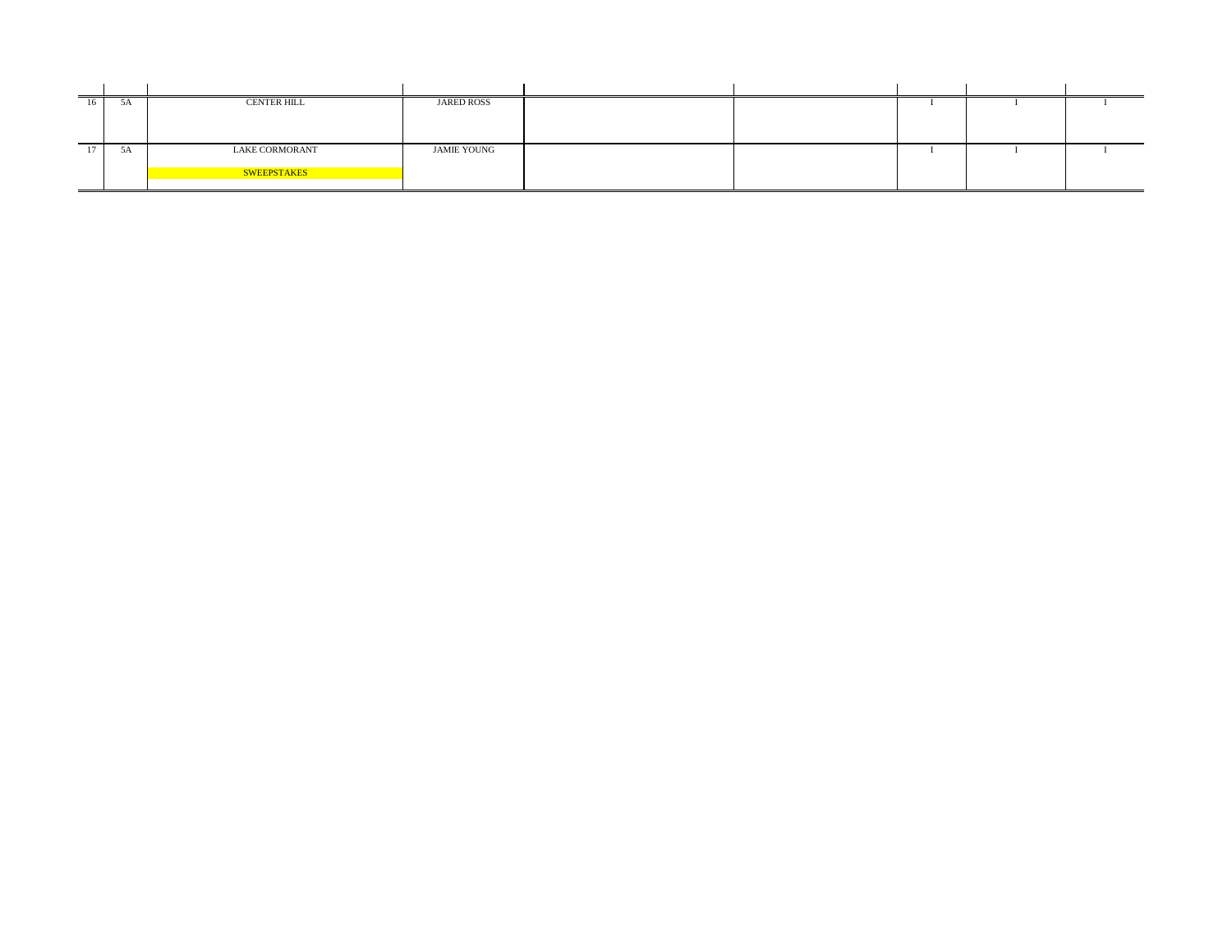| $\mathcal{A}$ | <b>CENTER HILL</b>    | <b>JARED ROSS</b>  |  |  |  |
|---------------|-----------------------|--------------------|--|--|--|
|               |                       |                    |  |  |  |
|               |                       |                    |  |  |  |
|               |                       |                    |  |  |  |
| $\mathcal{A}$ | <b>LAKE CORMORANT</b> | <b>JAMIE YOUNG</b> |  |  |  |
|               |                       |                    |  |  |  |
|               | SWEEPSTAKES           |                    |  |  |  |
|               |                       |                    |  |  |  |